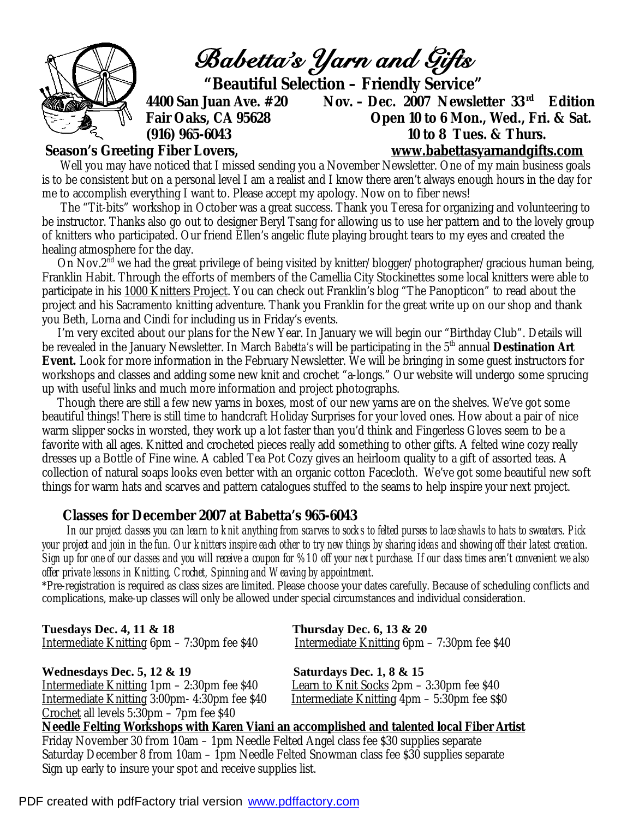

Well you may have noticed that I missed sending you a November Newsletter. One of my main business goals is to be consistent but on a personal level I am a realist and I know there aren't always enough hours in the day for me to accomplish everything I want to. Please accept my apology. Now on to fiber news!

 The "Tit-bits" workshop in October was a great success. Thank you Teresa for organizing and volunteering to be instructor. Thanks also go out to designer Beryl Tsang for allowing us to use her pattern and to the lovely group of knitters who participated. Our friend Ellen's angelic flute playing brought tears to my eyes and created the healing atmosphere for the day.

On Nov.2<sup>nd</sup> we had the great privilege of being visited by knitter/blogger/photographer/gracious human being, Franklin Habit. Through the efforts of members of the Camellia City Stockinettes some local knitters were able to participate in his 1000 Knitters Project. You can check out Franklin's blog "The Panopticon" to read about the project and his Sacramento knitting adventure. Thank you Franklin for the great write up on our shop and thank you Beth, Lorna and Cindi for including us in Friday's events.

 I'm very excited about our plans for the New Year. In January we will begin our "Birthday Club". Details will be revealed in the January Newsletter. In March *Babetta's* will be participating in the 5th annual *Destination Art Event.* Look for more information in the February Newsletter. We will be bringing in some guest instructors for workshops and classes and adding some new knit and crochet "a-longs." Our website will undergo some sprucing up with useful links and much more information and project photographs.

 Though there are still a few new yarns in boxes, most of our new yarns are on the shelves. We've got some beautiful things! There is still time to handcraft Holiday Surprises for your loved ones. How about a pair of nice warm slipper socks in worsted, they work up a lot faster than you'd think and Fingerless Gloves seem to be a favorite with all ages. Knitted and crocheted pieces really add something to other gifts. A felted wine cozy really dresses up a Bottle of Fine wine. A cabled Tea Pot Cozy gives an heirloom quality to a gift of assorted teas. A collection of natural soaps looks even better with an organic cotton Facecloth. We've got some beautiful new soft things for warm hats and scarves and pattern catalogues stuffed to the seams to help inspire your next project.

## **Classes for December 2007 at Babetta's 965-6043**

 *In our project classes you can learn to knit anything from scarves to socks to felted purses to lace shawls to hats to sweaters. Pick your project and join in the fun. Our knitters inspire each other to try new things by sharing ideas and showing off their latest creation. Sign up for one of our classes and you will receive a coupon for %10 off your next purchase. If our class times aren't convenient we also offer private lessons in Knitting, Crochet, Spinning and Weaving by appointment.* 

\*Pre-registration is required as class sizes are limited. Please choose your dates carefully. Because of scheduling conflicts and complications, make-up classes will only be allowed under special circumstances and individual consideration.

| <b>Tuesdays Dec. 4, 11 &amp; 18</b>                 | Thursday Dec. $6, 13 \& 20$                        |
|-----------------------------------------------------|----------------------------------------------------|
| <u> Intermediate Knitting</u> 6pm – 7:30pm fee \$40 | <u>Intermediate Knitting 6pm</u> – 7:30pm fee \$40 |

Wednesdays Dec. 5, 12 & 19 **Saturdays Dec. 1, 8 & 15** Intermediate Knitting 1pm – 2:30pm fee \$40 Learn to Knit Socks 2pm – 3:30pm fee \$40 Intermediate Knitting 3:00pm- 4:30pm fee \$40 Intermediate Knitting 4pm – 5:30pm fee \$\$0 Crochet all levels 5:30pm – 7pm fee \$40

**Needle Felting Workshops with Karen Viani an accomplished and talented local Fiber Artist** Friday November 30 from 10am – 1pm Needle Felted Angel class fee \$30 supplies separate Saturday December 8 from 10am – 1pm Needle Felted Snowman class fee \$30 supplies separate Sign up early to insure your spot and receive supplies list.

PDF created with pdfFactory trial version [www.pdffactory.com](http://www.pdffactory.com)